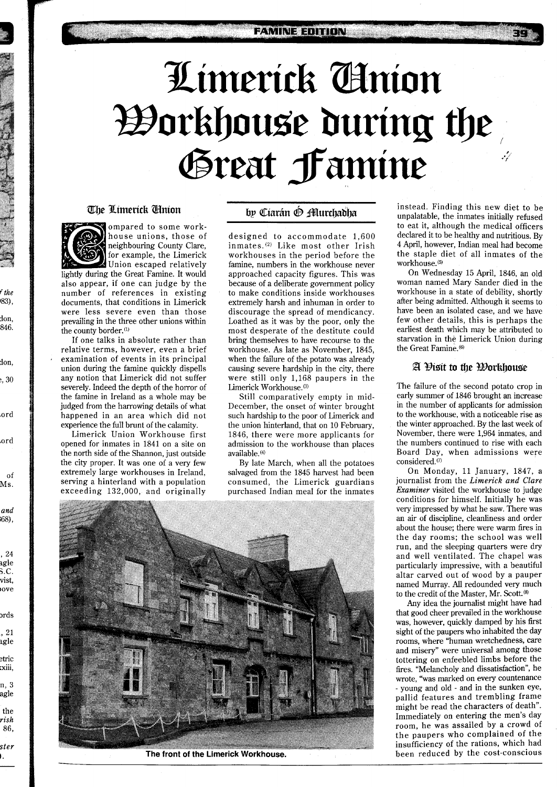# Limerick Anion *W***orkhouse during the** Great Famine

#### The Limerick Clinion



f *the*  1831, don, 846.

don, :, 30

.ord

,ord

of Ms.

*and*  ;68),

, 24 3gle %C. vist, love

 $_{\mathrm{ords}}$ , **<sup>21</sup>** agle etric xiii, n, **3**  agle the *rish*  86, *ster*  **1.** 

ompared to some workhouse unions, those of neighbouring County Clare, for example, the Limerick Union escaped relatively

lightly during the Great Famine. It would also appear, if one can judge by the number of references in existing documents, that conditions in Limerick were less severe even than those prevailing in the three other unions within the county border.<sup>(1)</sup>

If one talks in absolute rather than relative terms, however, even a brief examination of events in its principal union during the famine quickly dispells any notion that Limerick did not suffer severely. Indeed the depth of the horror of the famine in Ireland as a whole may be judged from the harrowing details of what happened in an area which did not experience the full brunt of the calamity.

Limerick Union Workhouse first opened for inmates in 1841 on a site on the north side of the Shannon, just outside the city proper. It was one of a very few extremely large workhouses in Ireland, serving a hinterland with a population exceeding 132,000, and originally

## by Ciarán ® Murchadha

designed to accommodate 1,600 inmates.@) Like most other Irish workhouses in the period before the famine, numbers in the workhouse never approached capacity figures. This was because of a deliberate government policy to make conditions inside workhouses extremely harsh and inhuman in order to discourage the spread of mendicancy. Loathed as it was by the poor, only the most desperate of the destitute could bring themselves to have recourse to the workhouse. As late as November, 1845, when the failure of the potato was already causing severe hardship in the city, there were still only 1,168 paupers in the Limerick Workhouse.<sup>(3)</sup>

Still comparatively empty in mid-December, the onset of winter brought such hardship to the poor of Limerick and the union hinterland, that on 10 February, 1846, there were more applicants for admission to the workhouse than places available. **(4)** 

By late March, when all the potatoes salvaged from the 1845 harvest had been consumed, the Limerick guardians purchased Indian meal for the inmates

The front of the Limerick Workhouse

instead. Finding this new diet to be unpalatable, the inmates initially refused to eat it, although the medical officers declared it to be healthy and nutritious. By 4 April, however, Indian meal had become the staple diet of all inmates of the workhouse.<sup>(5)</sup>

On Wednesday 15 April, 1846, an old woman named Mary Sander died in the workhouse in a state of debility, shortly after being admitted. Although it seems to have been an isolated case, and we have few other details, this is perhaps the earliest death which may be attributed to starvation in the Limerick Union during the Great Famine.<sup>(6)</sup>

## A Disit to the Workhouse

The failure of the second potato crop in early summer of 1846 brought an increase in the number of applicants for admission to the workhouse, with a noticeable rise as the winter approached. By the last week of November, there were 1,964 inmates, and the numbers continued to rise with each Board Day, when admissions were considered.<sup>(7)</sup>

On Monday, 11 January, 1847, a journalist from the *Limerick and Clare Examiner* visited the workhouse to judge conditions for himself. Initially he was very impressed by what he saw. There was an air of discipline, cleanliness and order about the house; there were warm fires in the day rooms; the school was well run, and the sleeping quarters were dry and well ventilated. The chapel was particularly impressive, with a beautiful altar carved out of wood by a pauper named Murray. All redounded very much to the credit of the Master, Mr. Scott.<sup>(8)</sup>

Any idea the journalist might have had that good cheer prevailed in the workhouse was, however, quickly damped by his first sight of the paupers who inhabited the day rooms, where "human wretchedness, care and misery" were universal among those tottering on enfeebled limbs before the fires. "Melancholy and dissatisfaction", he wrote, "was marked on every countenance - young and old - and in the sunken eye, pallid features and trembling frame might be read the characters of death". Immediately on entering the men's day room, he was assailed by a crowd of the paupers who complained of the insufficiency of the rations, which had been reduced by the cost-conscious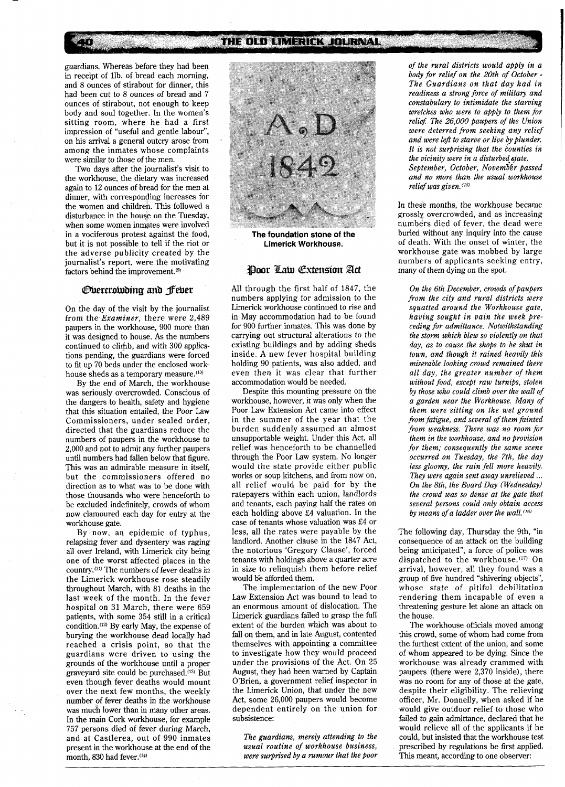guardians. Whereas before they had been in receipt of llb. of bread each morning, and 8 ounces of stirabout for dinner, this had been cut to 8 ounces of bread and 7 ounces of stirabout, not enough to keep body and soul together. In the women's sitting room, where he had a first impression of "useful and gentle labour", on his arrival a general outcry arose from among the inmates whose complaints were similar to those of the men.

Two days after the journalist's visit to the workhouse, the dietary was increased again to 12 ounces of bread for the men at dinner, with corresponding increases for the women and children. This followed a disturbance in the house on the Tuesday, when some women inmates were involved in a vociferous protest against the food, but it is not possible to tell if the riot or the adverse publicity created by the journalist's report, were the motivating factors behind the improvement.<sup>(9)</sup>

#### *Overcrowding and fever*

On the day of the visit by the journalist from the *Examiner,* there were 2,489 paupers in the workhouse, 900 more than it was designed to house. As the numbers continued to climb, and with 300 applications pending, the guardians were forced to fit up 70 beds under the enclosed workhouse sheds as a temporary measure.<sup>(10)</sup>

By the end of March, the workhouse was seriously overcrowded. Conscious of the dangers to health, safety and hygiene that this situation entailed, the Poor Law Commissioners, under sealed order, directed that the guardians reduce the numbers of paupers in the workhouse to 2,000 and not to admit any further paupers until numbers had fallen below that figure. This was an admirable measure in itself, but the commissioners offered no direction as to what was to be done with those thousands who were henceforth to be excluded indefinitely, crowds of whom now clamoured each day for entry at the workhouse gate.

By now, an epidemic of typhus, relapsing fever and dysentery was raging all over Ireland, with Limerick city being one of the worst affected places in the country.<sup>(11)</sup> The numbers of fever deaths in the Limerick workhouse rose steadily throughout March, with 81 deaths in the last week of the month. In the fever hospital on 31 March, there were 659 patients, with some 354 still in a critical condition.<sup>(12)</sup> By early May, the expense of burying the workhouse dead locally had reached a crisis point, so that the guardians were driven to using the grounds of the workhouse until a proper graveyard site could be purchased.<sup>(13)</sup> But even though fever deaths would mount over the next few months, the weekly number of fever deaths in the workhouse was much lower than in many other areas. In the main Cork workhouse, for example 757 persons died of fever during March, and at Castlerea, out of 990 inmates present in the workhouse at the end of the month, 830 had fever. $(14)$ 



**The foundation stone of the Limerick Workhouse.** 

#### Poor Law Extension Act

All through the first half of 1847, the numbers applying for admission to the Limerick workhouse continued to rise and in May accommodation had to be found for 900 further inmates. This was done by carrying out structural alterations to the existing buildings and by adding sheds inside. A new fever hospital building holding 90 patients, was also added, and even then it was clear that further accommodation would be needed.

Despite this mounting pressure on the workhouse, however, it was only when the Poor Law Extension Act came into effect in the summer of the year that the burden suddenly assumed an almost unsupportable weight. Under this Act, all relief was henceforth to be channelled through the Poor Law system. No longer would the state provide either public works or soup kitchens, and from now on, all relief would be paid for by the ratepayers within each union, landlords and tenants, each paying half the rates on each holding above E4 valuation. In the case of tenants whose valuation was E4 or less, all the rates were payable by the landlord. Another clause in the 1847 Act, the notorious 'Gregory Clause', forced tenants with holdings above a quarter acre in size to relinquish them before relief would be afforded them.

The implementation of the new Poor Law Extension Act was bound to lead to an enormous amount of dislocation. The Limerick guardians failed to grasp the full extent of the burden which was about to fall on them, and in late August, contented themselves with appointing a committee to investigate how they would proceed under the provisions of the Act. On 25 August, they had been warned by Captain O'Brien, a government relief inspector in the Limerick Union, that under the new Act, some 26,000 paupers would become dependent entirely on the union for subsistence:

*The guardians, merely attending to the usual routine of workhouse business, were surprised by a rumour that the poor*  *of the rural districts would apply in a body for relief on the 20th of October* - *The Guardians on that day had in readiness a strong force of military and constabulary to intimidate the starving wretches who were to apply to them for relie\$ The 26,000 paupers of the Union were deterred from seeking any relief and were left to starve or live by plunder.*  It is not surprising that the counties in *the vicinity were in a disturbed state. September, October, Nouemb6r passed and no more than the usual workhouse*   $relief was given.$ <sup>(15)</sup>

In these months, the workhouse became grossly overcrowded, and as increasing numbers died of fever, the dead were buried without any inquiry into the cause of death. With the onset of winter, the workhouse gate was mobbed by large numbers of applicants seeking entry, many of them dying on the spot.

*On the 6th December, crowds of paupers from the city and rural districts were squatted around the Workhouse gate, having sought in vain the week preceding for admittance. Notwithstanding the stom which blew so violently on that day, as to cause the shops to be shut in town, and though it rained heavily this miserable looking crowd remained there all day, the greater number of them without food, except raw turnips, stolen by those who could climb over the wall of a garden near the Workhouse. Many of them were sitting on the wet ground from fatigue, and several of them fainted from weakness. There was no room for them in the workhouse, and no provision for them; consequently the same scene occurred on Tuesday, the 7th, the day less gloomy, the rain fell more heavily. They were again sent away unrelieved* ... *On the 8th, the Board Day (Wednesday) the crowd was so dense at the gate that several persons could only obtain access by means of a ladder over the wa11.(16)* 

The following day, Thursday the 9th, "in consequence of an attack on the building being anticipated", a force of police was dispatched to the workhouse.<sup>(17)</sup> On arrival, however, all they found was a group of five hundred "shivering objects", whose state of pitiful debilitation rendering them incapable of even a threatening gesture let alone an attack on the house.

The workhouse officials moved among this crowd, some of whom had come from the furthest extent of the union, and some of whom appeared to be dying. Since the workhouse was already crammed with paupers (there were 2,370 inside), there was no room for any of those at the gate, despite their eligibility. The relieving officer, Mr. Donnelly, when asked if he would give outdoor relief to those who failed to gain admittance, declared that he would relieve all of the applicants if he could, but insisted that the workhouse test prescribed by regulations be first applied. This meant, according to one observer: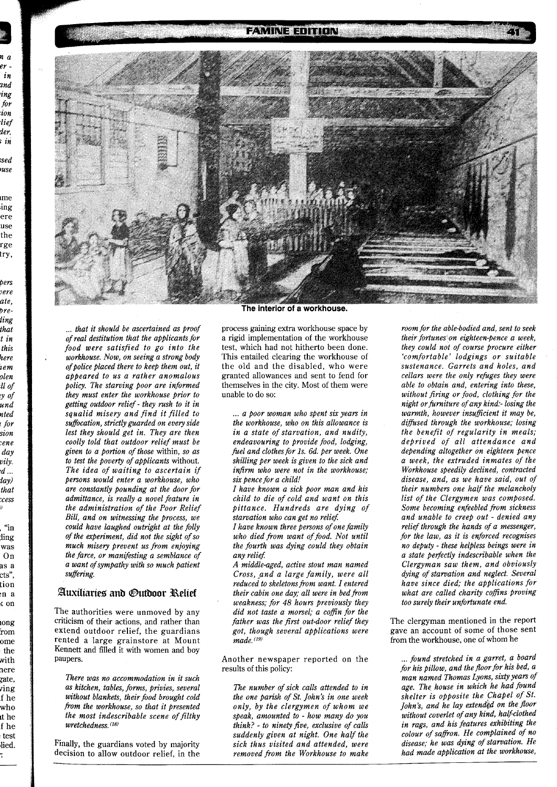n a er in ınd ing for ion lief der. ; in sed: use

me ing ere use the rge try,

bers vere ate,

breling

that

t in

this

here

iem

olen ll of

y of

und

nted

tor !

sion

ene:

day

vily.

 $d \, ...$ iay)

that

cess:

"in

ling

was

 $On$ 

as a

cts",

tion

n a

 $\frac{1}{2}$  on

iong

rom

ome

the

with

here

zate,

ving

f he

who

it he

f he

test

lied.

D

#### **FAMINE EDITION**



... that it should be ascertained as proof of real destitution that the applicants for food were satisfied to go into the workhouse. Now, on seeing a strong body of police placed there to keep them out, it abbeared to us a rather anomalous policy. The starving poor are informed they must enter the workhouse prior to getting outdoor relief - they rush to it in squalid misery and find it filled to suffocation, strictly guarded on every side lest they should get in. They are then coolly told that outdoor relief must be given to a portion of those within, so as to test the poverty of applicants without. The idea of waiting to ascertain if persons would enter a workhouse, who are constantly pounding at the door for admittance, is really a novel feature in the administration of the Poor Relief Bill, and on witnessing the process, we could have laughed outright at the folly of the experiment, did not the sight of so much misery prevent us from enjoying the farce, or manifesting a semblance of a want of sympathy with so much patient suffering.

## Auxiliaries and Outdoor Relief

The authorities were unmoved by any criticism of their actions, and rather than extend outdoor relief, the guardians rented a large grainstore at Mount Kennett and filled it with women and boy paupers.

There was no accommodation in it such as kitchen, tables, forms, privies, several without blankets, their food brought cold from the workhouse, so that it presented the most indescribable scene of filthy wretchedness. (18)

Finally, the guardians voted by majority decision to allow outdoor relief, in the

The interior of a workhouse.

process gaining extra workhouse space by a rigid implementation of the workhouse test, which had not hitherto been done. This entailed clearing the workhouse of the old and the disabled, who were granted allowances and sent to fend for themselves in the city. Most of them were unable to do so:

... a poor woman who spent six years in the workhouse, who on this allowance is in a state of starvation, and nudity, endeavouring to provide food, lodging, fuel and clothes for 1s. 6d. per week. One shilling per week is given to the sick and infirm who were not in the workhouse; six pence for a child!

I have known a sick poor man and his child to die of cold and want on this pittance. Hundreds are dying of starvation who can get no relief.

I have known three persons of one family who died from want of food. Not until the fourth was dying could they obtain any relief.

A middle-aged, active stout man named Cross, and a large family, were all reduced to skeletons from want. I entered their cabin one day; all were in bed from weakness; for 48 hours previously they did not taste a morsel; a coffin for the father was the first out-door relief they got, though several applications were  $made.$  $(19)$ 

Another newspaper reported on the results of this policy:

The number of sick calls attended to in the one parish of St. John's in one week only, by the clergymen of whom we speak, amounted to - how many do you think? - to ninety five, exclusive of calls suddenly given at night. One half the sick thus visited and attended, were removed from the Workhouse to make

room for the able-bodied and, sent to seek their fortunes on eighteen-pence a week, they could not of course procure either 'comfortable' lodgings or suitable sustenance. Garrets and holes, and cellars were the only refuges they were able to obtain and, entering into these, without firing or food, clothing for the night or furniture of any kind:- losing the warmth, however insufficient it may be, diffused through the workhouse; losing the benefit of regularity in meals; deprived of all attendance and depending altogether on eighteen pence a week, the extruded inmates of the Workhouse speedily declined, contracted disease, and, as we have said, out of their numbers one half the melancholy list of the Clergymen was composed. Some becoming enfeebled from sickness and unable to creep out - denied any relief through the hands of a messenger, for the law, as it is enforced recognises no deputy - these helpless beings were in a state perfectly indescribable when the Clergyman saw them, and obviously dying of starvation and neglect. Several have since died; the applications for what are called charity coffins proving too surely their unfortunate end.

The clergyman mentioned in the report gave an account of some of those sent from the workhouse, one of whom he

... found stretched in a garret, a board for his pillow, and the floor for his bed, a man named Thomas Lyons, sixty years of age. The house in which he had found shelter is opposite the Chapel of St. John's, and he lay extended on the floor without coverlet of any kind, half-clothed in rags, and his features exhibiting the colour of saffron. He complained of no disease; he was dying of starvation. He had made application at the workhouse,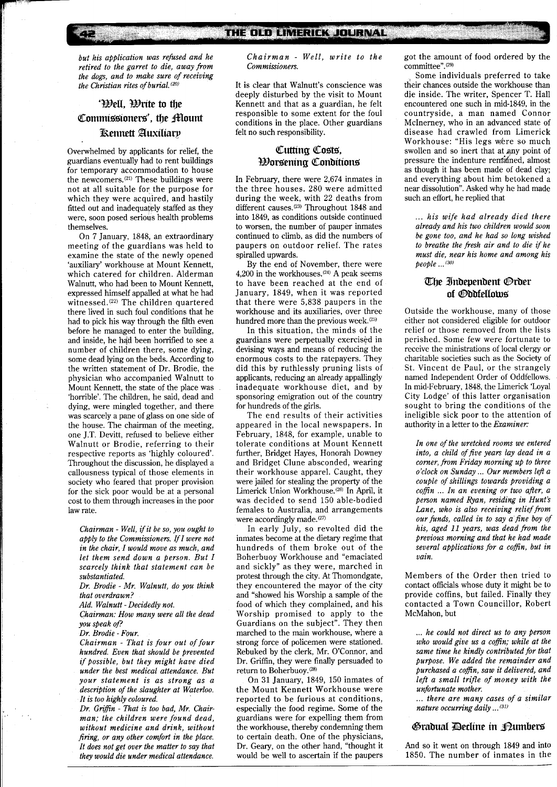*but his application was refused and he retired to the garret to die, away from the dogs, and to make sure of receiving the Christian rites of burial.*<sup>(20)</sup>

## '\ell, \trite to the Commissioners', the Mount **Kennett Auxiliary**

Overwhelmed by applicants for relief, the guardians eventually had to rent buildings for temporary accommodation to house the newcomers.(21) These buildings were not at all suitable for the purpose for which they were acquired, and hastily fitted out and inadequately staffed as they were, soon posed serious health problems themselves.

On 7 January, 1848, an extraordinary meeting of the guardians was held to examine the state of the newly opened 'auxiliary' workhouse at Mount Kennett, which catered for children. Alderman Walnutt, who had been to Mount Kennett, expressed himself appalled at what he had witnessed.(22) The children quartered there lived in such foul conditions that he had to pick his way through the filth even before he managed to enter the building, and inside, he had been horrified to see a number of children there, some dying, some dead lying on the beds. According to the written statement of Dr. Brodie, the physician who accompanied Walnutt to Mount Kennett, the state of the place was 'horrible'. The children, he said, dead and dying, were mingled together, and there was scarcely a pane of glass on one side of the house. The chairman of the meeting, one J.T. Devitt, refused to believe either Walnutt or Brodie, referring to their respective reports as 'highly coloured'. Throughout the discussion, he displayed a callousness typical of those elements in society who feared that proper provision for the sick poor would be at a personal cost to them through increases in the poor law rate.

*Chairman* - *Well, Zfit be so, you ought to apply to the Commissioners. If1 were not in the chair, I would move as much, and let them send down a person. But I scarcely think that statement can be substantiated.* 

*Dr. Brodie* - *Mr. Walnutt, do you think that overdrawn?* 

*Ald. Walnutt* - *Decidedly not.* 

*Chairman: How many were all the dead you speak of?* 

*Dr. Brodie -Four.* 

*Chairman* - *That is four out of four hundred. Even that should be prevented if possible, but they might have died under the best medical attendance. But your statement is as strong as a description of the slaughter at Waterloo. It is too highly coloured.* 

*Dr. Grifin* - *That is too bad, Mr. Chairman; the children were found dead, without medicine and drink, without firing, or any other comfort in the place. It does not get over the matter to say that they would die under medical attendance.* 

*Chairman* - *Well, write to the Commissioners.* 

It is clear that Walnutt's conscience was deeply disturbed by the visit to Mount Kennett and that as a guardian, he felt responsible to some extent for the foul conditions in the place. Other guardians felt no such responsibility.

## Cutting Costs, Borsenitrg Conbitions

In February, there were 2,674 inmates in the three houses. 280 were admitted during the week, with 22 deaths from different causes.(23) Throughout 1848 and into 1849, as conditions outside continued to worsen, the number of pauper inmates continued to climb, as did the numbers of paupers on outdoor relief. The rates spiralled upwards.

By the end of November, there were 4,200 in the workhouses. $(24)$  A peak seems to have been reached at the end of January, 1849, when it was reported that there were 5,838 paupers in the workhouse and its auxiliaries, over three hundred more than the previous week.<sup>(25)</sup>

In this situation, the minds of the guardians were perpetually exercised in devising ways and means of reducing the enormous costs to the ratepayers. They did this by ruthlessly pruning lists of applicants, reducing an already appallingly inadequate workhouse diet, and by sponsoring emigration out of the country for hundreds of the girls.

The end results of their activities appeared in the local newspapers. In February, 1848, for example, unable to tolerate conditions at Mount Kennett further, Bridget Hayes, Honorah Downey and Bridget Clune absconded, wearing their workhouse apparel. Caught, they were jailed for stealing the property of the Limerick Union Workhouse.(26) In April, it was decided to send 150 able-bodied females to Australia, and arrangements were accordingly made.<sup>(27)</sup>

In early July, so revolted did the inmates become at the dietary regime that hundreds of them broke out of the Boherbuoy Workhouse and "emaciated and sickly" as they were, marched in protest through the city. At Thomondgate, they encountered the mayor of the city and "showed his Worship a sample of the food of which they complained, and his Worship promised to apply to the Guardians on the subject". They then marched to the main workhouse, where a strong force of policemen were stationed. Rebuked by the clerk, Mr. O'Connor, and Dr. Griffin, they were finally persuaded to return to Boherbuoy.<br/>  $^{(28)}$ 

On 31 January, 1849, 150 inmates of the Mount Kennett Workhouse were reported to be furious at conditions, especially the food regime. Some of the guardians were for expelling them from the workhouse, thereby condemning them to certain death. One of the physicians, Dr. Geary, on the other hand, "thought it would be well to ascertain if the paupers

got the amount of food ordered by the committee".(2g)

Some individuals preferred to take their chances outside the workhouse than die inside. The writer, Spencer T. Hall encountered one such in mid-1849, in the countryside, a man named Connor McInerney, who in an advanced state of disease had crawled from Limerick Workhouse: "His legs were so much swollen and so inert that at any point of pressure the indenture rerrfgined, almost as though it has been made of dead clay; and everything about him betokened a near dissolution". Asked why he had made such an effort, he replied that

... *his wife had already died there already and his two children would soon be gone too, and he had so long wished to breathe the fresh air and to die if he must die, near his home and among his people* **...(30)** 

## The Independent Order of *Oddfellows*

Outside the workhouse, many of those either not considered eligible for outdoor relief or those removed from the lists perished. Some few were fortunate to receive the ministrations of local clergy or charitable societies such as the Society of St. Vincent de Paul, or the strangely named Independent Order of Oddfellows. In mid-February, 1848, the Limerick 'Loyal City Lodge' of this latter organisation sought to bring the conditions of the ineligible sick poor to the attention of authority in a letter to the *Examiner:* 

*In one of the wretched rooms we entered into, a child of five years lay dead in a corner, from Friday morning up to three o'clock on Sunday* ... *Our members left a couple of shillings towards providing a cofin* ... *In an evening or two after, a person named Ryan, residing in Hunt's Lane, who is also receiving relief from our funds, called in to say a fine boy of his, aged l1 years, was dead from the previous morning and that he had made several applications for a cofin, but in vain.* 

Members of the Order then tried to contact officials whose duty it might be to provide coffins, but failed. Finally they contacted a Town Councillor, Robert McMahon, but

... *he could not direct us to any person who would give us a coffin; while at the same time he kindly contributed for that purpose. We added the remainder and purchased a coffin, saw it delivered, and left a small trifle of money with the unfortunate mother.* 

... *there are many cases of a similar nature occurring daily* **...(3z)** 

#### Gradual Decline in Pumbers

And so it went on through 1849 and into 1850. The number of inmates in the